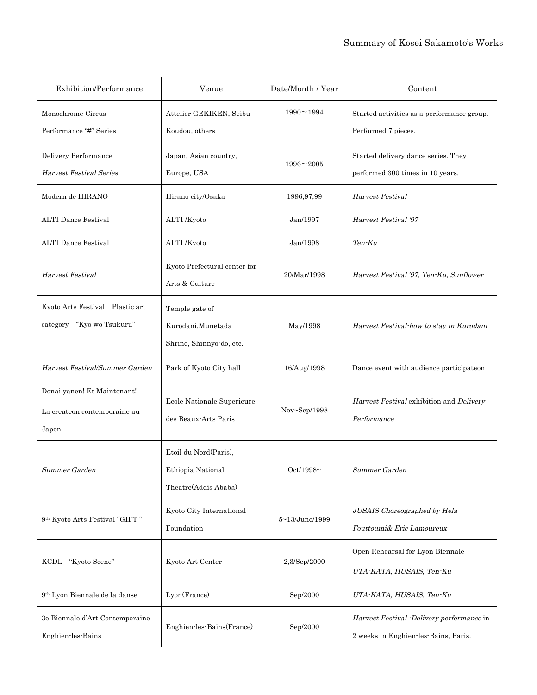| Exhibition/Performance                                               | Venue                                                              | Date/Month / Year | Content                                                                          |
|----------------------------------------------------------------------|--------------------------------------------------------------------|-------------------|----------------------------------------------------------------------------------|
| Monochrome Circus<br>Performance "#" Series                          | Attelier GEKIKEN, Seibu<br>Koudou, others                          | $1990 - 1994$     | Started activities as a performance group.<br>Performed 7 pieces.                |
| Delivery Performance<br><b>Harvest Festival Series</b>               | Japan, Asian country,<br>Europe, USA                               | $1996 - 2005$     | Started delivery dance series. They<br>performed 300 times in 10 years.          |
| Modern de HIRANO                                                     | Hirano city/Osaka                                                  | 1996,97,99        | Harvest Festival                                                                 |
| <b>ALTI Dance Festival</b>                                           | ALTI /Kyoto                                                        | Jan/1997          | Harvest Festival '97                                                             |
| <b>ALTI Dance Festival</b>                                           | ALTI /Kyoto                                                        | Jan/1998          | Ten-Ku                                                                           |
| Harvest Festival                                                     | Kyoto Prefectural center for<br>Arts & Culture                     | 20/Mar/1998       | Harvest Festival '97, Ten-Ku, Sunflower                                          |
| Kyoto Arts Festival Plastic art<br>category "Kyo wo Tsukuru"         | Temple gate of<br>Kurodani, Munetada<br>Shrine, Shinnyo-do, etc.   | May/1998          | Harvest Festival how to stay in Kurodani                                         |
| Harvest Festival/Summer Garden                                       | Park of Kyoto City hall                                            | 16/Aug/1998       | Dance event with audience participateon                                          |
| Donai yanen! Et Maintenant!<br>La createon contemporaine au<br>Japon | Ecole Nationale Superieure<br>des Beaux-Arts Paris                 | Nov~Sep/1998      | Harvest Festival exhibition and Delivery<br>Performance                          |
| Summer Garden                                                        | Etoil du Nord(Paris),<br>Ethiopia National<br>Theatre(Addis Ababa) | Oct/1998~         | Summer Garden                                                                    |
| 9th Kyoto Arts Festival "GIFT "                                      | Kyoto City International<br>Foundation                             | 5~13/June/1999    | JUSAIS Choreographed by Hela<br>Fouttoumi& Eric Lamoureux                        |
| "Kyoto Scene"<br>KCDL                                                | Kyoto Art Center                                                   | 2,3/Sep/2000      | Open Rehearsal for Lyon Biennale<br>UTA-KATA, HUSAIS, Ten-Ku                     |
| 9th Lyon Biennale de la danse                                        | Lyon(France)                                                       | Sep/2000          | UTA-KATA, HUSAIS, Ten-Ku                                                         |
| 3e Biennale d'Art Contemporaine<br>Enghien-les-Bains                 | Enghien-les-Bains(France)                                          | Sep/2000          | Harvest Festival Delivery performance in<br>2 weeks in Enghien-les-Bains, Paris. |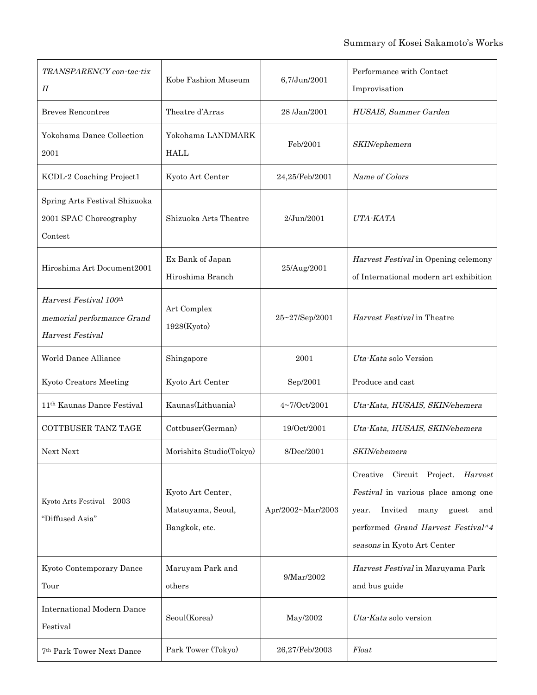| TRANSPARENCY con-tac-tix<br>П                                            | Kobe Fashion Museum                                     | 6,7/Jun/2001      | Performance with Contact<br>Improvisation                                                                                                                                                 |
|--------------------------------------------------------------------------|---------------------------------------------------------|-------------------|-------------------------------------------------------------------------------------------------------------------------------------------------------------------------------------------|
| <b>Breves Rencontres</b>                                                 | Theatre d'Arras                                         | 28 /Jan/2001      | HUSAIS, Summer Garden                                                                                                                                                                     |
| Yokohama Dance Collection<br>2001                                        | Yokohama LANDMARK<br><b>HALL</b>                        | Feb/2001          | SKIN/ephemera                                                                                                                                                                             |
| KCDL-2 Coaching Project1                                                 | Kyoto Art Center                                        | 24,25/Feb/2001    | Name of Colors                                                                                                                                                                            |
| Spring Arts Festival Shizuoka<br>2001 SPAC Choreography<br>Contest       | Shizuoka Arts Theatre                                   | $2$ /Jun/2001     | UTA-KATA                                                                                                                                                                                  |
| Hiroshima Art Document2001                                               | Ex Bank of Japan<br>Hiroshima Branch                    | 25/Aug/2001       | Harvest Festival in Opening celemony<br>of International modern art exhibition                                                                                                            |
| Harvest Festival 100th<br>memorial performance Grand<br>Harvest Festival | Art Complex<br>1928(Kyoto)                              | 25~27/Sep/2001    | Harvest Festival in Theatre                                                                                                                                                               |
| World Dance Alliance                                                     | Shingapore                                              | 2001              | Uta-Kata solo Version                                                                                                                                                                     |
| Kyoto Creators Meeting                                                   | Kyoto Art Center                                        | Sep/2001          | Produce and cast                                                                                                                                                                          |
| 11 <sup>th</sup> Kaunas Dance Festival                                   | Kaunas(Lithuania)                                       | 4~7/Oct/2001      | Uta Kata, HUSAIS, SKIN/ehemera                                                                                                                                                            |
| <b>COTTBUSER TANZ TAGE</b>                                               | Cottbuser(German)                                       | 19/Oct/2001       | Uta-Kata, HUSAIS, SKIN/ehemera                                                                                                                                                            |
| Next Next                                                                | Morishita Studio(Tokyo)                                 | 8/Dec/2001        | <i>SKIN/ehemera</i>                                                                                                                                                                       |
| Kyoto Arts Festival 2003<br>"Diffused Asia"                              | Kyoto Art Center,<br>Matsuyama, Seoul,<br>Bangkok, etc. | Apr/2002~Mar/2003 | Creative Circuit Project. Harvest<br>Festival in various place among one<br>Invited<br>many<br>guest<br>and<br>year.<br>performed Grand Harvest Festival^4<br>seasons in Kyoto Art Center |
| Kyoto Contemporary Dance<br>Tour                                         | Maruyam Park and<br>others                              | 9/Mar/2002        | Harvest Festival in Maruyama Park<br>and bus guide                                                                                                                                        |
| <b>International Modern Dance</b><br>Festival                            | Seoul(Korea)                                            | May/2002          | Uta-Kata solo version                                                                                                                                                                     |
| 7th Park Tower Next Dance                                                | Park Tower (Tokyo)                                      | 26,27/Feb/2003    | Float                                                                                                                                                                                     |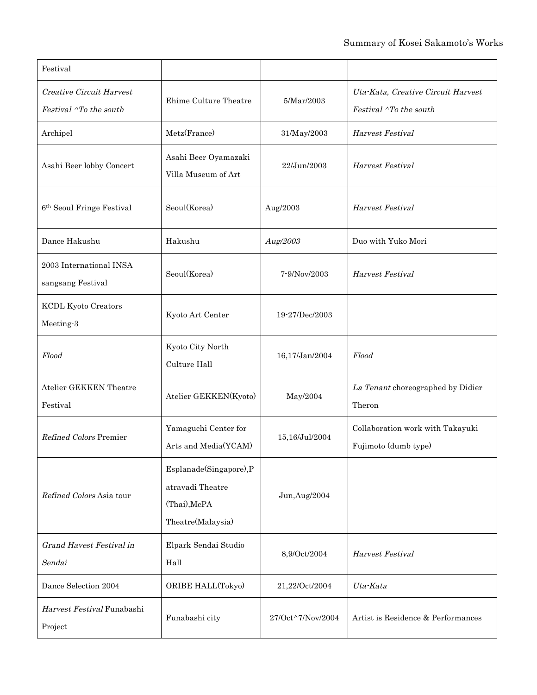| Festival                                                  |                                                                                 |                   |                                                              |
|-----------------------------------------------------------|---------------------------------------------------------------------------------|-------------------|--------------------------------------------------------------|
| <b>Creative Circuit Harvest</b><br>Festival ^To the south | Ehime Culture Theatre                                                           | 5/Mar/2003        | Uta-Kata, Creative Circuit Harvest<br>Festival ^To the south |
| Archipel                                                  | Metz(France)                                                                    | 31/May/2003       | Harvest Festival                                             |
| Asahi Beer lobby Concert                                  | Asahi Beer Oyamazaki<br>Villa Museum of Art                                     | 22/Jun/2003       | Harvest Festival                                             |
| 6 <sup>th</sup> Seoul Fringe Festival                     | Seoul(Korea)                                                                    | Aug/2003          | Harvest Festival                                             |
| Dance Hakushu                                             | Hakushu                                                                         | Aug/2003          | Duo with Yuko Mori                                           |
| 2003 International INSA<br>sangsang Festival              | Seoul(Korea)                                                                    | $7 - 9/Nov/2003$  | Harvest Festival                                             |
| <b>KCDL Kyoto Creators</b><br>Meeting-3                   | Kyoto Art Center                                                                | 19-27/Dec/2003    |                                                              |
| Flood                                                     | Kyoto City North<br>Culture Hall                                                | 16,17/Jan/2004    | Flood                                                        |
| <b>Atelier GEKKEN Theatre</b><br>Festival                 | Atelier GEKKEN(Kyoto)                                                           | May/2004          | La Tenant choreographed by Didier<br>Theron                  |
| Refined Colors Premier                                    | Yamaguchi Center for<br>Arts and Media(YCAM)                                    | 15,16/Jul/2004    | Collaboration work with Takayuki<br>Fujimoto (dumb type)     |
| Refined Colors Asia tour                                  | Esplanade(Singapore),P<br>atravadi Theatre<br>(Thai), McPA<br>Theatre(Malaysia) | Jun, Aug/2004     |                                                              |
| Grand Havest Festival in<br>Sendai                        | Elpark Sendai Studio<br>Hall                                                    | 8,9/Oct/2004      | Harvest Festival                                             |
| Dance Selection 2004                                      | ORIBE HALL(Tokyo)                                                               | 21,22/Oct/2004    | Uta-Kata                                                     |
| Harvest Festival Funabashi<br>Project                     | Funabashi city                                                                  | 27/Oct^7/Nov/2004 | Artist is Residence & Performances                           |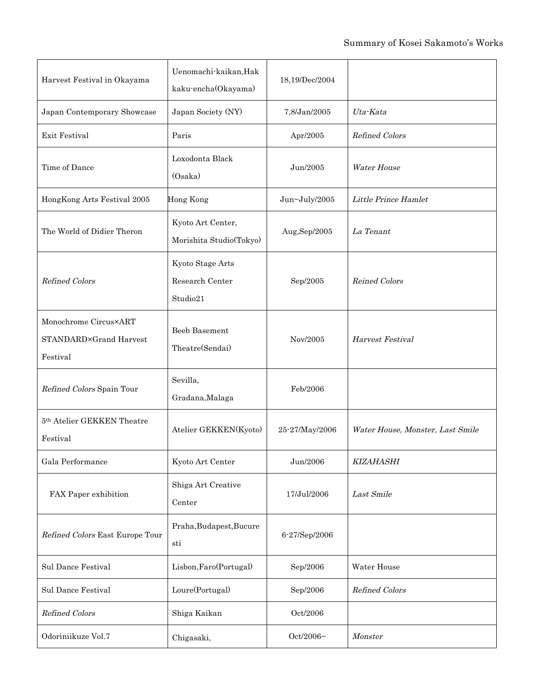| Harvest Festival in Okayama                                 | Uenomachi-kaikan, Hak<br>kaku-encha(Okayama)    | 18,19/Dec/2004 |                                  |
|-------------------------------------------------------------|-------------------------------------------------|----------------|----------------------------------|
| Japan Contemporary Showcase                                 | Japan Society (NY)                              | 7,8/Jan/2005   | Uta-Kata                         |
| Exit Festival                                               | Paris                                           | Apr/2005       | Refined Colors                   |
| Time of Dance                                               | Loxodonta Black<br>(Osaka)                      | Jun/2005       | <b>Water House</b>               |
| HongKong Arts Festival 2005                                 | <b>Hong Kong</b>                                | Jun~July/2005  | Little Prince Hamlet             |
| The World of Didier Theron                                  | Kyoto Art Center,<br>Morishita Studio(Tokyo)    | Aug,Sep/2005   | La Tenant                        |
| <b>Refined Colors</b>                                       | Kyoto Stage Arts<br>Research Center<br>Studio21 | Sep/2005       | <b>Reined Colors</b>             |
| Monochrome Circus×ART<br>STANDARD×Grand Harvest<br>Festival | Beeb Basement<br>Theatre(Sendai)                | Nov/2005       | Harvest Festival                 |
| Refined Colors Spain Tour                                   | Sevilla,<br>Gradana, Malaga                     | Feb/2006       |                                  |
| 5th Atelier GEKKEN Theatre<br>Festival                      | Atelier GEKKEN(Kyoto)                           | 25-27/May/2006 | Water House, Monster, Last Smile |
| Gala Performance                                            | Kyoto Art Center                                | Jun/2006       | <b>KIZAHASHI</b>                 |
| FAX Paper exhibition                                        | Shiga Art Creative<br>Center                    | 17/Jul/2006    | Last Smile                       |
| Refined Colors East Europe Tour                             | Praha, Budapest, Bucure<br>sti                  | 6-27/Sep/2006  |                                  |
| <b>Sul Dance Festival</b>                                   | Lisbon, Faro(Portugal)                          | Sep/2006       | Water House                      |
| <b>Sul Dance Festival</b>                                   | Loure(Portugal)                                 | Sep/2006       | Refined Colors                   |
| Refined Colors                                              | Shiga Kaikan                                    | Oct/2006       |                                  |
| Odoriniikuze Vol.7                                          | Chigasaki,                                      | Oct/2006~      | Monster                          |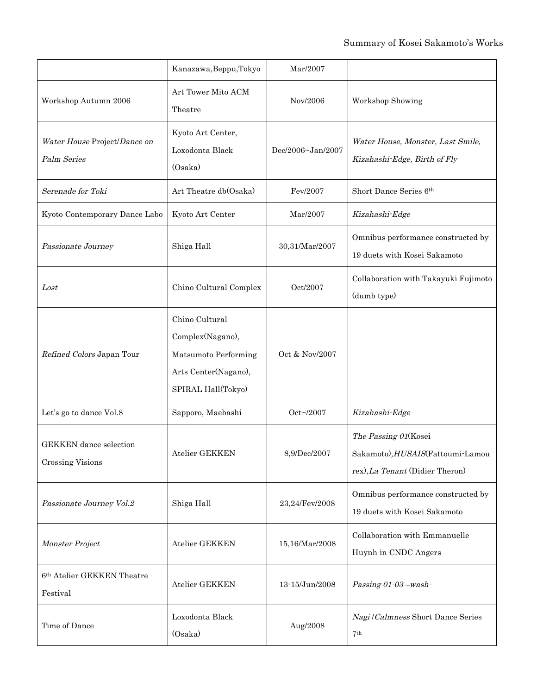|                                                          | Kanazawa, Beppu, Tokyo                                                                                   | Mar/2007          |                                                                                             |
|----------------------------------------------------------|----------------------------------------------------------------------------------------------------------|-------------------|---------------------------------------------------------------------------------------------|
| Workshop Autumn 2006                                     | Art Tower Mito ACM<br>Theatre                                                                            | Nov/2006          | Workshop Showing                                                                            |
| Water House Project/Dance on<br>Palm Series              | Kyoto Art Center,<br>Loxodonta Black<br>(Osaka)                                                          | Dec/2006~Jan/2007 | Water House, Monster, Last Smile,<br>Kizahashi-Edge, Birth of Fly                           |
| Serenade for Toki                                        | Art Theatre db(Osaka)                                                                                    | Fev/2007          | Short Dance Series 6th                                                                      |
| Kyoto Contemporary Dance Labo                            | Kyoto Art Center                                                                                         | Mar/2007          | Kizahashi-Edge                                                                              |
| Passionate Journey                                       | Shiga Hall                                                                                               | 30,31/Mar/2007    | Omnibus performance constructed by<br>19 duets with Kosei Sakamoto                          |
| Lost                                                     | Chino Cultural Complex                                                                                   | Oct/2007          | Collaboration with Takayuki Fujimoto<br>(dumb type)                                         |
| Refined Colors Japan Tour                                | Chino Cultural<br>Complex(Nagano),<br>Matsumoto Performing<br>Arts Center(Nagano),<br>SPIRAL Hall(Tokyo) | Oct & Nov/2007    |                                                                                             |
| Let's go to dance Vol.8                                  | Sapporo, Maebashi                                                                                        | Oct~/2007         | Kizahashi-Edge                                                                              |
| <b>GEKKEN</b> dance selection<br><b>Crossing Visions</b> | Atelier GEKKEN                                                                                           | 8,9/Dec/2007      | The Passing 01(Kosei<br>Sakamoto), HUSAIS(Fattoumi-Lamou<br>rex), La Tenant (Didier Theron) |
| Passionate Journey Vol.2                                 | Shiga Hall                                                                                               | 23,24/Fev/2008    | Omnibus performance constructed by<br>19 duets with Kosei Sakamoto                          |
| Monster Project                                          | Atelier GEKKEN                                                                                           | 15,16/Mar/2008    | Collaboration with Emmanuelle<br>Huynh in CNDC Angers                                       |
| 6th Atelier GEKKEN Theatre<br>Festival                   | Atelier GEKKEN                                                                                           | 13-15/Jun/2008    | Passing 01-03-wash-                                                                         |
| Time of Dance                                            | Loxodonta Black<br>(Osaka)                                                                               | Aug/2008          | Nagi / Calmness Short Dance Series<br>7 <sup>th</sup>                                       |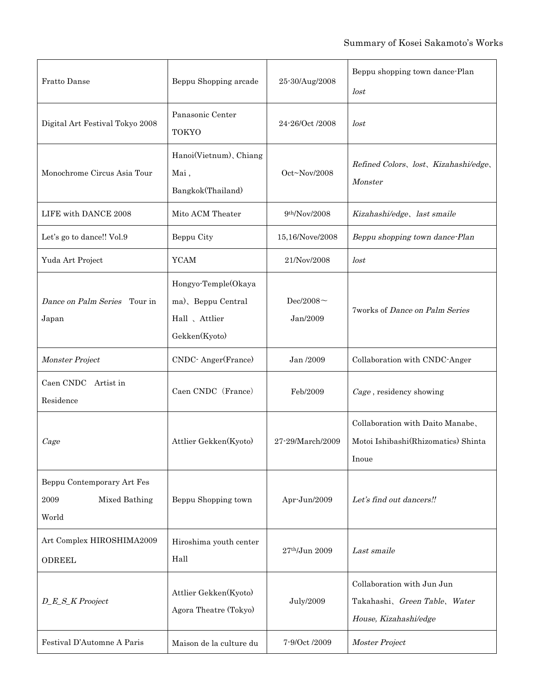| Fratto Danse                                                 | Beppu Shopping arcade                                                       | 25-30/Aug/2008                   | Beppu shopping town dance-Plan<br>lost                                               |
|--------------------------------------------------------------|-----------------------------------------------------------------------------|----------------------------------|--------------------------------------------------------------------------------------|
| Digital Art Festival Tokyo 2008                              | Panasonic Center<br><b>TOKYO</b>                                            | 24-26/Oct /2008                  | lost                                                                                 |
| Monochrome Circus Asia Tour                                  | Hanoi(Vietnum), Chiang<br>Mai,<br>Bangkok(Thailand)                         | $Oct \sim Nov/2008$              | Refined Colors, lost, Kizahashi/edge,<br>Monster                                     |
| LIFE with DANCE 2008                                         | Mito ACM Theater                                                            | 9 <sup>th</sup> /Nov/2008        | Kizahashi/edge, last smaile                                                          |
| Let's go to dance!! Vol.9                                    | Beppu City                                                                  | 15,16/Nove/2008                  | Beppu shopping town dance-Plan                                                       |
| Yuda Art Project                                             | <b>YCAM</b>                                                                 | 21/Nov/2008                      | lost                                                                                 |
| Dance on Palm Series Tour in<br>Japan                        | Hongyo-Temple(Okaya<br>ma), Beppu Central<br>Hall 、Attlier<br>Gekken(Kyoto) | Dec/2008 $\sim$<br>Jan/2009      | <b>7works of Dance on Palm Series</b>                                                |
| Monster Project                                              | CNDC-Anger(France)                                                          | Jan /2009                        | Collaboration with CNDC-Anger                                                        |
| Caen CNDC<br>Artist in<br>Residence                          | Caen CNDC (France)                                                          | Feb/2009                         | Cage, residency showing                                                              |
| Cage                                                         | Attlier Gekken(Kyoto)                                                       | 27-29/March/2009                 | Collaboration with Daito Manabe,<br>Motoi Ishibashi(Rhizomatics) Shinta<br>Inoue     |
| Beppu Contemporary Art Fes<br>2009<br>Mixed Bathing<br>World | Beppu Shopping town                                                         | Apr-Jun/2009                     | Let's find out dancers!!                                                             |
| Art Complex HIROSHIMA2009<br><b>ODREEL</b>                   | Hiroshima youth center<br>Hall                                              | $27^{\rm th}\!/\!{\rm Jun}$ 2009 | Last smaile                                                                          |
| D_E_S_K Prooject                                             | Attlier Gekken(Kyoto)<br>Agora Theatre (Tokyo)                              | <b>July/2009</b>                 | Collaboration with Jun Jun<br>Takahashi, Green Table, Water<br>House, Kizahashi/edge |
| Festival D'Automne A Paris                                   | Maison de la culture du                                                     | 7-9/Oct /2009                    | Moster Project                                                                       |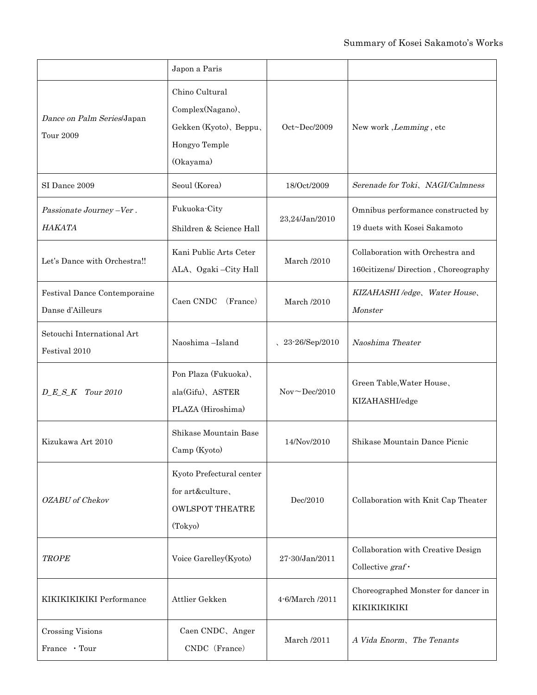|                                                  | Japon a Paris                                                                              |                                                                                     |                                                                         |
|--------------------------------------------------|--------------------------------------------------------------------------------------------|-------------------------------------------------------------------------------------|-------------------------------------------------------------------------|
| Dance on Palm Series/Japan<br><b>Tour 2009</b>   | Chino Cultural<br>Complex(Nagano),<br>Gekken (Kyoto), Beppu,<br>Hongyo Temple<br>(Okayama) | $Oct\neg$ Dec/2009                                                                  | New work, Lemming, etc                                                  |
| SI Dance 2009                                    | Seoul (Korea)                                                                              | 18/Oct/2009                                                                         | Serenade for Toki、NAGI/Calmness                                         |
| Passionate Journey -Ver.<br>HAKATA               | Fukuoka-City<br>Shildren & Science Hall                                                    | 23,24/Jan/2010                                                                      | Omnibus performance constructed by<br>19 duets with Kosei Sakamoto      |
| Let's Dance with Orchestra!!                     | Kani Public Arts Ceter<br>ALA, Ogaki - City Hall                                           | <b>March</b> /2010                                                                  | Collaboration with Orchestra and<br>160citizens/Direction, Choreography |
| Festival Dance Contemporaine<br>Danse d'Ailleurs | Caen CNDC<br>(France)                                                                      | <b>March</b> /2010                                                                  | KIZAHASHI /edge, Water House,<br>Monster                                |
| Setouchi International Art<br>Festival 2010      | Naoshima-Island                                                                            | 23-26/Sep/2010                                                                      | Naoshima Theater                                                        |
| $D_{\_}E_{\_}S_{\_}K$ Tour 2010                  | Pon Plaza (Fukuoka),<br>ala(Gifu), ASTER<br>PLAZA (Hiroshima)                              | Nov <dec 2010<="" td=""><td>Green Table, Water House,<br/>KIZAHASHI/edge</td></dec> | Green Table, Water House,<br>KIZAHASHI/edge                             |
| Kizukawa Art 2010                                | Shikase Mountain Base<br>Camp (Kyoto)                                                      | 14/Nov/2010                                                                         | Shikase Mountain Dance Picnic                                           |
| OZABU of Chekov                                  | Kyoto Prefectural center<br>for art&culture、<br><b>OWLSPOT THEATRE</b><br>(Tokyo)          | Dec/2010                                                                            | Collaboration with Knit Cap Theater                                     |
| <b>TROPE</b>                                     | Voice Garelley(Kyoto)                                                                      | 27-30/Jan/2011                                                                      | Collaboration with Creative Design<br>Collective $graf \cdot$           |
| KIKIKIKIKIKI Performance                         | Attlier Gekken                                                                             | 4-6/March /2011                                                                     | Choreographed Monster for dancer in<br>KIKIKIKIKIKI                     |
| <b>Crossing Visions</b><br>France · Tour         | Caen CNDC, Anger<br>CNDC (France)                                                          | <b>March</b> /2011                                                                  | A Vida Enorm, The Tenants                                               |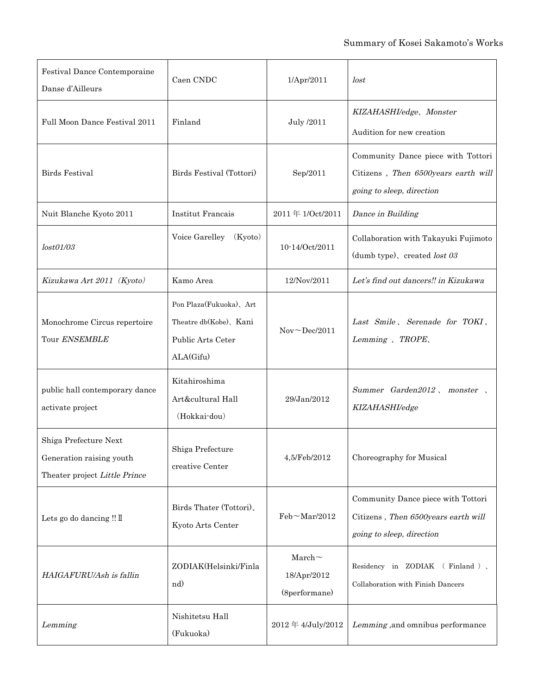| Festival Dance Contemporaine<br>Danse d'Ailleurs                                   | Caen CNDC                                                                           | 1/Apr/2011                                | lost                                                                                                   |
|------------------------------------------------------------------------------------|-------------------------------------------------------------------------------------|-------------------------------------------|--------------------------------------------------------------------------------------------------------|
| Full Moon Dance Festival 2011                                                      | Finland                                                                             | July /2011                                | KIZAHASHI/edge, Monster<br>Audition for new creation                                                   |
| <b>Birds Festival</b>                                                              | Birds Festival (Tottori)                                                            | Sep/2011                                  | Community Dance piece with Tottori<br>Citizens, Then 6500years earth will<br>going to sleep, direction |
| Nuit Blanche Kyoto 2011                                                            | <b>Institut Francais</b>                                                            | 2011年1/Oct/2011                           | Dance in Building                                                                                      |
| lost01/03                                                                          | Voice Garelley<br>(Kyoto)                                                           | 10-14/Oct/2011                            | Collaboration with Takayuki Fujimoto<br>(dumb type), created lost 03                                   |
| Kizukawa Art 2011 (Kyoto)                                                          | Kamo Area                                                                           | 12/Nov/2011                               | Let's find out dancers!! in Kizukawa                                                                   |
| Monochrome Circus repertoire<br>Tour ENSEMBLE                                      | Pon Plaza(Fukuoka), Art<br>Theatre db(Kobe), Kani<br>Public Arts Ceter<br>ALA(Gifu) | $Nov \sim Dec/2011$                       | Last Smile, Serenade for TOKI,<br>Lemming, TROPE,                                                      |
| public hall contemporary dance<br>activate project                                 | Kitahiroshima<br>Art&cultural Hall<br>(Hokkai-dou)                                  | 29/Jan/2012                               | Summer Garden2012, monster,<br>KIZAHASHI/edge                                                          |
| Shiga Prefecture Next<br>Generation raising youth<br>Theater project Little Prince | Shiga Prefecture<br>creative Center                                                 | 4,5/Feb/2012                              | Choreography for Musical                                                                               |
| Lets go do dancing !! I                                                            | Birds Thater (Tottori),<br>Kyoto Arts Center                                        | Feb~Mar/2012                              | Community Dance piece with Tottori<br>Citizens, Then 6500years earth will<br>going to sleep, direction |
| HAIGAFURU/Ash is fallin                                                            | ZODIAK(Helsinki/Finla<br>nd)                                                        | $March$ ~<br>18/Apr/2012<br>(8performane) | Residency in ZODIAK (Finland),<br>Collaboration with Finish Dancers                                    |
| Lemming                                                                            | Nishitetsu Hall<br>(Fukuoka)                                                        | 2012年4/July/2012                          | Lemming, and omnibus performance                                                                       |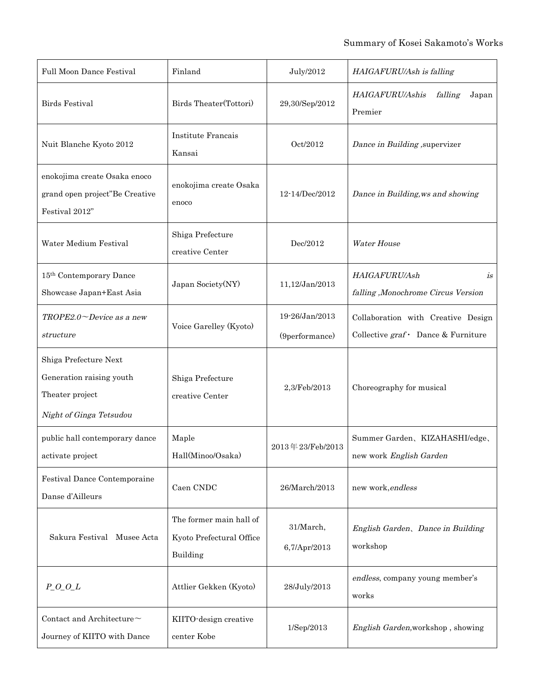| <b>Full Moon Dance Festival</b>                                                                 | Finland                                                         | July/2012                        | HAIGAFURU/Ash is falling                                                        |
|-------------------------------------------------------------------------------------------------|-----------------------------------------------------------------|----------------------------------|---------------------------------------------------------------------------------|
| <b>Birds Festival</b>                                                                           | Birds Theater(Tottori)                                          | 29,30/Sep/2012                   | HAIGAFURU/Ashis<br>falling<br>Japan<br>Premier                                  |
| Nuit Blanche Kyoto 2012                                                                         | <b>Institute Francais</b><br>Kansai                             | Oct/2012                         | Dance in Building , supervizer                                                  |
| enokojima create Osaka enoco<br>grand open project"Be Creative<br>Festival 2012"                | enokojima create Osaka<br>enoco                                 | 12-14/Dec/2012                   | Dance in Building, ws and showing                                               |
| Water Medium Festival                                                                           | Shiga Prefecture<br>creative Center                             | Dec/2012                         | <b>Water House</b>                                                              |
| 15th Contemporary Dance<br>Showcase Japan+East Asia                                             | Japan Society(NY)                                               | 11,12/Jan/2013                   | HAIGAFURU/Ash<br>is<br>falling ,Monochrome Circus Version                       |
| $TROPE2.0 \sim$ Device as a new<br>structure                                                    | Voice Garelley (Kyoto)                                          | 19-26/Jan/2013<br>(9performance) | Collaboration with Creative Design<br>Collective $graf \cdot$ Dance & Furniture |
| Shiga Prefecture Next<br>Generation raising youth<br>Theater project<br>Night of Ginga Tetsudou | Shiga Prefecture<br>creative Center                             | 2,3/Feb/2013                     | Choreography for musical                                                        |
| public hall contemporary dance<br>activate project                                              | Maple<br>Hall(Minoo/Osaka)                                      | 2013年23/Feb/2013                 | Summer Garden、KIZAHASHI/edge、<br>new work English Garden                        |
| Festival Dance Contemporaine<br>Danse d'Ailleurs                                                | Caen CNDC                                                       | 26/March/2013                    | new work, endless                                                               |
| Sakura Festival Musee Acta                                                                      | The former main hall of<br>Kyoto Prefectural Office<br>Building | 31/March,<br>6,7/Apr/2013        | English Garden, Dance in Building<br>workshop                                   |
| $P_0_0_L$                                                                                       | Attlier Gekken (Kyoto)                                          | 28/July/2013                     | endless, company young member's<br>works                                        |
| Contact and Architecture $\sim$<br>Journey of KIITO with Dance                                  | KIITO-design creative<br>center Kobe                            | 1/Sep/2013                       | English Garden, workshop, showing                                               |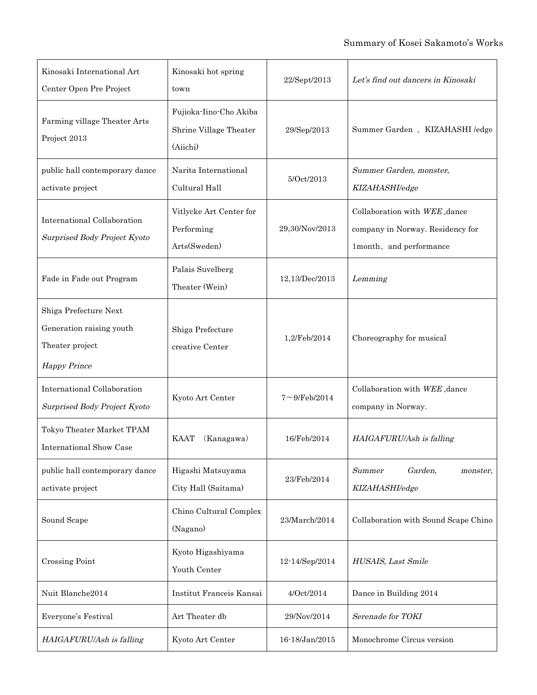| Kinosaki International Art<br>Center Open Pre Project                                       | Kinosaki hot spring<br>town                                  | 22/Sept/2013      | Let's find out dancers in Kinosaki                                                           |
|---------------------------------------------------------------------------------------------|--------------------------------------------------------------|-------------------|----------------------------------------------------------------------------------------------|
| Farming village Theater Arts<br>Project 2013                                                | Fujioka-Iino-Cho Akiba<br>Shrine Village Theater<br>(Aiichi) | 29/Sep/2013       | Summer Garden 、 KIZAHASHI /edge                                                              |
| public hall contemporary dance<br>activate project                                          | Narita International<br>Cultural Hall                        | 5/Oct/2013        | Summer Garden, monster,<br>KIZAHASHI/edge                                                    |
| <b>International Collaboration</b><br>Surprised Body Project Kyoto                          | Vitlycke Art Center for<br>Performing<br>Arts(Sweden)        | 29,30/Nov/2013    | Collaboration with WEE, dance<br>company in Norway. Residency for<br>1month, and performance |
| Fade in Fade out Program                                                                    | Palais Suvelberg<br>Theater (Wein)                           | 12,13/Dec/2013    | Lemming                                                                                      |
| Shiga Prefecture Next<br>Generation raising youth<br>Theater project<br><b>Happy Prince</b> | Shiga Prefecture<br>creative Center                          | 1,2/Feb/2014      | Choreography for musical                                                                     |
| International Collaboration<br>Surprised Body Project Kyoto                                 | Kyoto Art Center                                             | $7 - 9$ /Feb/2014 | Collaboration with WEE, dance<br>company in Norway.                                          |
| Tokyo Theater Market TPAM<br><b>International Show Case</b>                                 | (Kanagawa)<br><b>KAAT</b>                                    | 16/Feb/2014       | HAIGAFURU/Ash is falling                                                                     |
| public hall contemporary dance<br>activate project                                          | Higashi Matsuyama<br>City Hall (Saitama)                     | 23/Feb/2014       | Garden.<br>Summer<br><i>monster,</i><br>KIZAHASHI/edge                                       |
| Sound Scape                                                                                 | Chino Cultural Complex<br>(Nagano)                           | 23/March/2014     | Collaboration with Sound Scape Chino                                                         |
| <b>Crossing Point</b>                                                                       | Kyoto Higashiyama<br>Youth Center                            | 12-14/Sep/2014    | HUSAIS, Last Smile                                                                           |
| Nuit Blanche2014                                                                            | Institut Franceis Kansai                                     | 4/Oct/2014        | Dance in Building 2014                                                                       |
| Everyone's Festival                                                                         | Art Theater db                                               | 29/Nov/2014       | Serenade for TOKI                                                                            |
| HAIGAFURU/Ash is falling                                                                    | Kyoto Art Center                                             | 16-18/Jan/2015    | Monochrome Circus version                                                                    |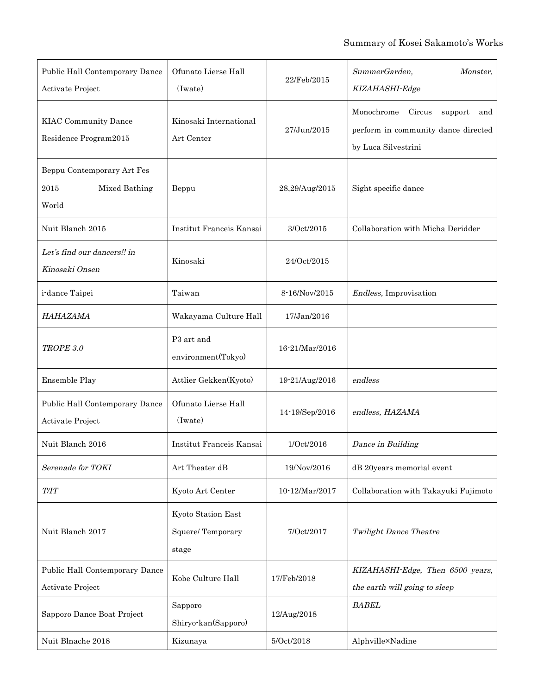| Public Hall Contemporary Dance<br>Activate Project           | Ofunato Lierse Hall<br>(Iwate)                  | 22/Feb/2015    | SummerGarden,<br>Monster,<br>KIZAHASHI-Edge                                                          |
|--------------------------------------------------------------|-------------------------------------------------|----------------|------------------------------------------------------------------------------------------------------|
| <b>KIAC Community Dance</b><br>Residence Program2015         | Kinosaki International<br>Art Center            | 27/Jun/2015    | Monochrome<br>Circus<br>support<br>and<br>perform in community dance directed<br>by Luca Silvestrini |
| Beppu Contemporary Art Fes<br>Mixed Bathing<br>2015<br>World | Beppu                                           | 28,29/Aug/2015 | Sight specific dance                                                                                 |
| Nuit Blanch 2015                                             | Institut Franceis Kansai                        | 3/Oct/2015     | Collaboration with Micha Deridder                                                                    |
| Let's find our dancers!! in<br>Kinosaki Onsen                | Kinosaki                                        | 24/Oct/2015    |                                                                                                      |
| i-dance Taipei                                               | Taiwan                                          | 8-16/Nov/2015  | Endless, Improvisation                                                                               |
| HAHAZAMA                                                     | Wakayama Culture Hall                           | 17/Jan/2016    |                                                                                                      |
| TROPE 3.0                                                    | P3 art and<br>environment(Tokyo)                | 16-21/Mar/2016 |                                                                                                      |
| Ensemble Play                                                | Attlier Gekken(Kyoto)                           | 19-21/Aug/2016 | endless                                                                                              |
| Public Hall Contemporary Dance<br>Activate Project           | Ofunato Lierse Hall<br>(Iwate)                  | 14-19/Sep/2016 | endless, HAZAMA                                                                                      |
| Nuit Blanch 2016                                             | Institut Franceis Kansai                        | 1/Oct/2016     | Dance in Building                                                                                    |
| Serenade for TOKI                                            | Art Theater dB                                  | 19/Nov/2016    | dB 20years memorial event                                                                            |
| <i>T/IT</i>                                                  | Kyoto Art Center                                | 10-12/Mar/2017 | Collaboration with Takayuki Fujimoto                                                                 |
| Nuit Blanch 2017                                             | Kyoto Station East<br>Squere/Temporary<br>stage | 7/Oct/2017     | <b>Twilight Dance Theatre</b>                                                                        |
| Public Hall Contemporary Dance<br>Activate Project           | Kobe Culture Hall                               | 17/Feb/2018    | KIZAHASHI-Edge, Then 6500 years,<br>the earth will going to sleep                                    |
| Sapporo Dance Boat Project                                   | Sapporo<br>Shiryo-kan(Sapporo)                  | 12/Aug/2018    | <b>BABEL</b>                                                                                         |
| Nuit Blnache 2018                                            | Kizunaya                                        | 5/Oct/2018     | Alphville×Nadine                                                                                     |